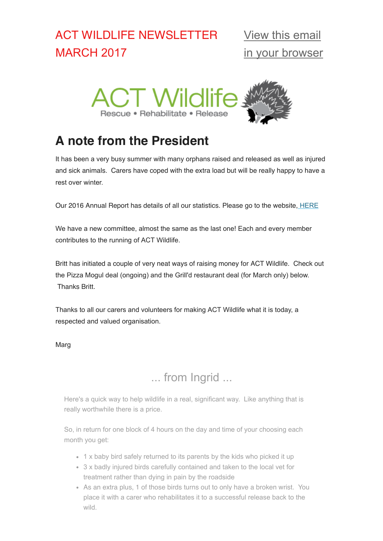# ACT WILDLIFE NEWSLETTER MARCH 2017



# **A note from the President**

It has been a very busy summer with many orphans raised and released as well as injured and sick animals. Carers have coped with the extra load but will be really happy to have a rest over winter.

Our 2016 Annual Report has details of all our statistics. Please go to the website, [HERE](http://actwildlife.net/annual-reports.html)

We have a new committee, almost the same as the last one! Each and every member contributes to the running of ACT Wildlife.

Britt has initiated a couple of very neat ways of raising money for ACT Wildlife. Check out the Pizza Mogul deal (ongoing) and the Grill'd restaurant deal (for March only) below. Thanks Britt.

Thanks to all our carers and volunteers for making ACT Wildlife what it is today, a respected and valued organisation.

Marg

## ... from Ingrid ...

Here's a quick way to help wildlife in a real, significant way. Like anything that is really worthwhile there is a price.

So, in return for one block of 4 hours on the day and time of your choosing each month you get:

- 1 x baby bird safely returned to its parents by the kids who picked it up
- 3 x badly injured birds carefully contained and taken to the local vet for treatment rather than dying in pain by the roadside
- As an extra plus, 1 of those birds turns out to only have a broken wrist. You place it with a carer who rehabilitates it to a successful release back to the wild.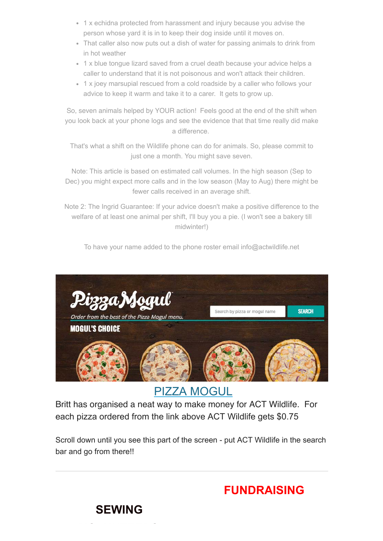- 1 x echidna protected from harassment and injury because you advise the person whose yard it is in to keep their dog inside until it moves on.
- That caller also now puts out a dish of water for passing animals to drink from in hot weather
- 1 x blue tongue lizard saved from a cruel death because your advice helps a caller to understand that it is not poisonous and won't attack their children.
- 1 x joey marsupial rescued from a cold roadside by a caller who follows your advice to keep it warm and take it to a carer. It gets to grow up.

So, seven animals helped by YOUR action! Feels good at the end of the shift when you look back at your phone logs and see the evidence that that time really did make a difference.

That's what a shift on the Wildlife phone can do for animals. So, please commit to just one a month. You might save seven.

Note: This article is based on estimated call volumes. In the high season (Sep to Dec) you might expect more calls and in the low season (May to Aug) there might be fewer calls received in an average shift.

Note 2: The Ingrid Guarantee: If your advice doesn't make a positive difference to the welfare of at least one animal per shift, I'll buy you a pie. (I won't see a bakery till midwinter!)

To have your name added to the phone roster email info@actwildlife.net



[PIZZA MOGUL](https://internetorder.dominos.com.au/estore/en/ProductMenu)

Britt has organised a neat way to make money for ACT Wildlife. For each pizza ordered from the link above ACT Wildlife gets \$0.75

Scroll down until you see this part of the screen - put ACT Wildlife in the search bar and go from there!!

**FUNDRAISING**

**SEWING**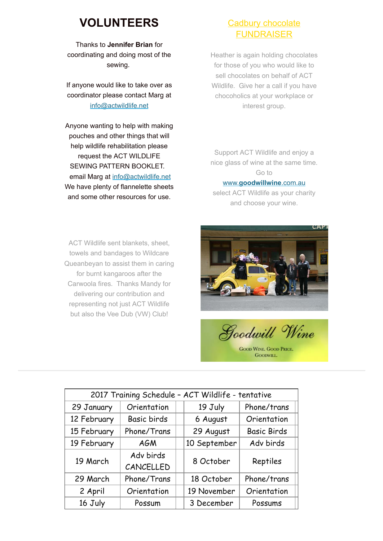## **VOLUNTEERS**

Thanks to **Jennifer Brian** for coordinating and doing most of the sewing.

If anyone would like to take over as coordinator please contact Marg at [info@actwildlife.net](mailto:info@actwildlife.net?subject=sewing%20coordintor)

Anyone wanting to help with making pouches and other things that will help wildlife rehabilitation please request the ACT WILDLIFE SEWING PATTERN BOOKLET. email Marg at [info@actwildlife.net](mailto:info@actwildlife.com?subject=Sewing%20volunteer) We have plenty of flannelette sheets and some other resources for use.

### Cadbury chocolate **FUNDRAISER**

Heather is again holding chocolates for those of you who would like to sell chocolates on behalf of ACT Wildlife. Give her a call if you have chocoholics at your workplace or interest group.

Support ACT Wildlife and enjoy a nice glass of wine at the same time. Go to www.**[goodwillwine](http://www.goodwillwine.com.au/)**.com.au

select ACT Wildlife as your charity and choose your wine.

ACT Wildlife sent blankets, sheet, towels and bandages to Wildcare Queanbeyan to assist them in caring for burnt kangaroos after the Carwoola fires. Thanks Mandy for delivering our contribution and representing not just ACT Wildlife but also the Vee Dub (VW) Club!



Goodwill Wine

**GOOD WINE, GOOD PRICE GOODWILL** 

| 2017 Training Schedule - ACT Wildlife - tentative |                        |  |              |                    |
|---------------------------------------------------|------------------------|--|--------------|--------------------|
| 29 January                                        | Orientation            |  | 19 July      | Phone/trans        |
| 12 February                                       | Basic birds            |  | 6 August     | Orientation        |
| 15 February                                       | Phone/Trans            |  | 29 August    | <b>Basic Birds</b> |
| 19 February                                       | <b>AGM</b>             |  | 10 September | Adv birds          |
| 19 March                                          | Adv birds<br>CANCELLED |  | 8 October    | Reptiles           |
| 29 March                                          | Phone/Trans            |  | 18 October   | Phone/trans        |
| 2 April                                           | Orientation            |  | 19 November  | Orientation        |
| 16 July                                           | Possum                 |  | 3 December   | Possums            |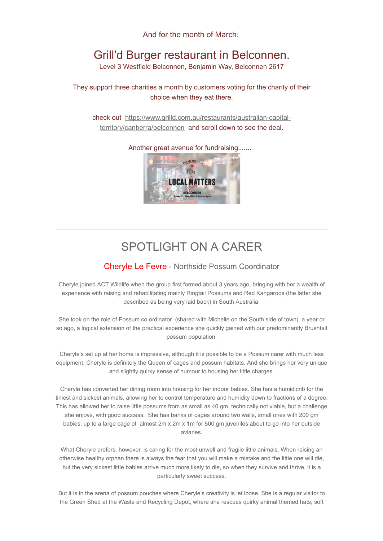And for the month of March:

# Grill'd Burger restaurant in Belconnen.

Level 3 Westfield Belconnen, Benjamin Way, Belconnen 2617

They support three charities a month by customers voting for the charity of their choice when they eat there.

check out [https://www.grilld.com.au/restaurants/australian-capital](https://www.grilld.com.au/restaurants/australian-capital-territory/canberra/belconnen)territory/canberra/belconnen and scroll down to see the deal.

Another great avenue for fundraising.......



## SPOTLIGHT ON A CARER

### Cheryle Le Fevre - Northside Possum Coordinator

Cheryle joined ACT Wildlife when the group first formed about 3 years ago, bringing with her a wealth of experience with raising and rehabilitating mainly Ringtail Possums and Red Kangaroos (the latter she described as being very laid back) in South Australia.

She took on the role of Possum co ordinator (shared with Michelle on the South side of town) a year or so ago, a logical extension of the practical experience she quickly gained with our predominantly Brushtail possum population.

Cheryle's set up at her home is impressive, although it is possible to be a Possum carer with much less equipment. Cheryle is definitely the Queen of cages and possum habitats. And she brings her very unique and slightly quirky sense of humour to housing her little charges.

Cheryle has converted her dining room into housing for her indoor babies. She has a humidicrib for the tiniest and sickest animals, allowing her to control temperature and humidity down to fractions of a degree. This has allowed her to raise little possums from as small as 40 gm, technically not viable, but a challenge she enjoys, with good success. She has banks of cages around two walls, small ones with 200 gm babies, up to a large cage of almost 2m x 2m x 1m for 500 gm juveniles about to go into her outside aviaries.

What Cheryle prefers, however, is caring for the most unwell and fragile little animals. When raising an otherwise healthy orphan there is always the fear that you will make a mistake and the little one will die, but the very sickest little babies arrive much more likely to die, so when they survive and thrive, it is a particularly sweet success.

But it is in the arena of possum pouches where Cheryle's creativity is let loose. She is a regular visitor to the Green Shed at the Waste and Recycling Depot, where she rescues quirky animal themed hats, soft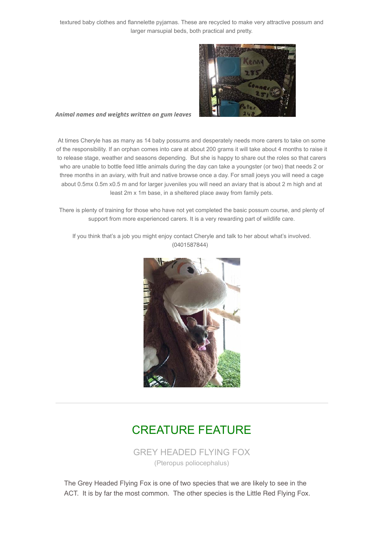textured baby clothes and flannelette pyjamas. These are recycled to make very attractive possum and larger marsupial beds, both practical and pretty.



#### *Animal names and weights written on gum leaves*

At times Cheryle has as many as 14 baby possums and desperately needs more carers to take on some of the responsibility. If an orphan comes into care at about 200 grams it will take about 4 months to raise it to release stage, weather and seasons depending. But she is happy to share out the roles so that carers who are unable to bottle feed little animals during the day can take a youngster (or two) that needs 2 or three months in an aviary, with fruit and native browse once a day. For small joeys you will need a cage about 0.5mx 0.5m x0.5 m and for larger juveniles you will need an aviary that is about 2 m high and at least 2m x 1m base, in a sheltered place away from family pets.

There is plenty of training for those who have not yet completed the basic possum course, and plenty of support from more experienced carers. It is a very rewarding part of wildlife care.

If you think that's a job you might enjoy contact Cheryle and talk to her about what's involved. (0401587844)



### CREATURE FEATURE

GREY HEADED FLYING FOX (Pteropus poliocephalus)

The Grey Headed Flying Fox is one of two species that we are likely to see in the ACT. It is by far the most common. The other species is the Little Red Flying Fox.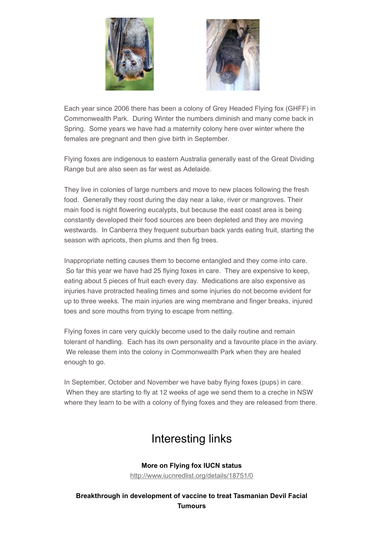



Each year since 2006 there has been a colony of Grey Headed Flying fox (GHFF) in Commonwealth Park. During Winter the numbers diminish and many come back in Spring. Some years we have had a maternity colony here over winter where the females are pregnant and then give birth in September.

Flying foxes are indigenous to eastern Australia generally east of the Great Dividing Range but are also seen as far west as Adelaide.

They live in colonies of large numbers and move to new places following the fresh food. Generally they roost during the day near a lake, river or mangroves. Their main food is night flowering eucalypts, but because the east coast area is being constantly developed their food sources are been depleted and they are moving westwards. In Canberra they frequent suburban back yards eating fruit, starting the season with apricots, then plums and then fig trees.

Inappropriate netting causes them to become entangled and they come into care. So far this year we have had 25 flying foxes in care. They are expensive to keep, eating about 5 pieces of fruit each every day. Medications are also expensive as injuries have protracted healing times and some injuries do not become evident for up to three weeks. The main injuries are wing membrane and finger breaks, injured toes and sore mouths from trying to escape from netting.

Flying foxes in care very quickly become used to the daily routine and remain tolerant of handling. Each has its own personality and a favourite place in the aviary. We release them into the colony in Commonwealth Park when they are healed enough to go.

In September, October and November we have baby flying foxes (pups) in care. When they are starting to fly at 12 weeks of age we send them to a creche in NSW where they learn to be with a colony of flying foxes and they are released from there.

# Interesting links

## **More on Flying fox IUCN status**

<http://www.iucnredlist.org/details/18751/0>

**Breakthrough in development of vaccine to treat Tasmanian Devil Facial Tumours**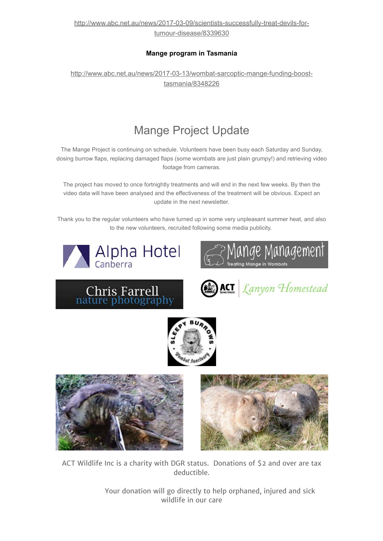[http://www.abc.net.au/news/2017-03-09/scientists-successfully-treat-devils-for](http://www.abc.net.au/news/2017-03-09/scientists-successfully-treat-devils-for-tumour-disease/8339630)tumour-disease/8339630

### **Mange program in Tasmania**

[http://www.abc.net.au/news/2017-03-13/wombat-sarcoptic-mange-funding-boost](http://www.abc.net.au/news/2017-03-13/wombat-sarcoptic-mange-funding-boost-tasmania/8348226)tasmania/8348226

# Mange Project Update

The Mange Project is continuing on schedule. Volunteers have been busy each Saturday and Sunday, dosing burrow flaps, replacing damaged flaps (some wombats are just plain grumpy!) and retrieving video footage from cameras.

The project has moved to once fortnightly treatments and will end in the next few weeks. By then the video data will have been analysed and the effectiveness of the treatment will be obvious. Expect an update in the next newsletter.

Thank you to the regular volunteers who have turned up in some very unpleasant summer heat, and also to the new volunteers, recruited following some media publicity.















ACT Wildlife Inc is a charity with DGR status. Donations of \$2 and over are tax deductible.

> Your donation will go directly to help orphaned, injured and sick wildlife in our care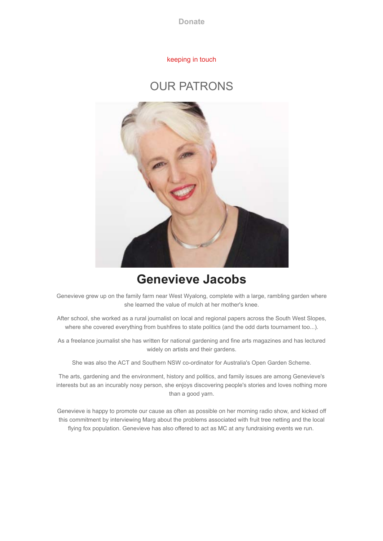**[Donate](http://actwildlife.net/donation-info.html)**

#### keeping in touch

### OUR PATRONS



# **Genevieve Jacobs**

Genevieve grew up on the family farm near West Wyalong, complete with a large, rambling garden where she learned the value of mulch at her mother's knee.

After school, she worked as a rural journalist on local and regional papers across the South West Slopes, where she covered everything from bushfires to state politics (and the odd darts tournament too...).

As a freelance journalist she has written for national gardening and fine arts magazines and has lectured widely on artists and their gardens.

She was also the ACT and Southern NSW co-ordinator for Australia's Open Garden Scheme.

The arts, gardening and the environment, history and politics, and family issues are among Genevieve's interests but as an incurably nosy person, she enjoys discovering people's stories and loves nothing more than a good yarn.

Genevieve is happy to promote our cause as often as possible on her morning radio show, and kicked off this commitment by interviewing Marg about the problems associated with fruit tree netting and the local flying fox population. Genevieve has also offered to act as MC at any fundraising events we run.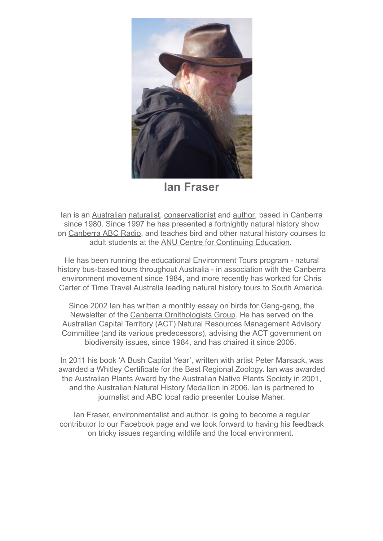

**Ian Fraser**

Ian is an [Australian](http://en.wikipedia.org/wiki/Australian) [naturalist](http://en.wikipedia.org/wiki/Natural_history), [conservationist](http://en.wikipedia.org/wiki/Conservation_movement) and [author](http://en.wikipedia.org/wiki/Author), based in Canberra since 1980. Since 1997 he has presented a fortnightly natural history show on [Canberra ABC Radio,](http://www.abc.net.au/canberra/?ref=portal_m10) and teaches bird and other natural history courses to adult students at the [ANU Centre for Continuing Education](http://www.anu.edu.au/cce/).

He has been running the educational Environment Tours program - natural history bus-based tours throughout Australia - in association with the Canberra environment movement since 1984, and more recently has worked for Chris Carter of Time Travel Australia leading natural history tours to South America.

Since 2002 Ian has written a monthly essay on birds for Gang-gang, the Newsletter of the [Canberra Ornithologists Group](http://canberrabirds.org.au/index.htm). He has served on the Australian Capital Territory (ACT) Natural Resources Management Advisory Committee (and its various predecessors), advising the ACT government on biodiversity issues, since 1984, and has chaired it since 2005.

In 2011 his book 'A Bush Capital Year', written with artist Peter Marsack, was awarded a Whitley Certificate for the Best Regional Zoology. Ian was awarded the Australian Plants Award by the [Australian Native Plants Society](http://anpsa.org.au/info.html) in 2001, and the [Australian Natural History Medallion](http://en.wikipedia.org/wiki/Australian_Natural_History_Medallion) in 2006. Ian is partnered to journalist and ABC local radio presenter Louise Maher.

Ian Fraser, environmentalist and author, is going to become a regular contributor to our Facebook page and we look forward to having his feedback on tricky issues regarding wildlife and the local environment.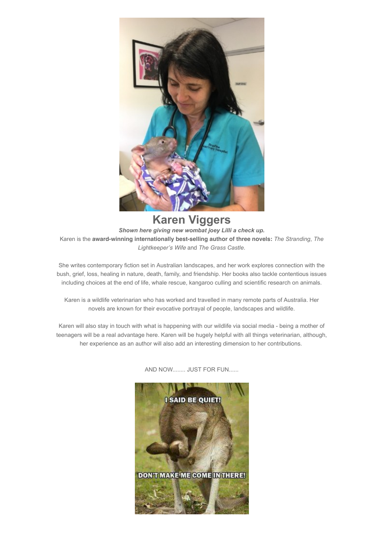

**Karen Viggers** *Shown here giving new wombat joey Lilli a check up.* Karen is the **award-winning internationally best-selling author of three novels:** *The Stranding*, *The Lightkeeper's Wife* and *The Grass Castle*.

She writes contemporary fiction set in Australian landscapes, and her work explores connection with the bush, grief, loss, healing in nature, death, family, and friendship. Her books also tackle contentious issues including choices at the end of life, whale rescue, kangaroo culling and scientific research on animals.

Karen is a wildlife veterinarian who has worked and travelled in many remote parts of Australia. Her novels are known for their evocative portrayal of people, landscapes and wildlife.

Karen will also stay in touch with what is happening with our wildlife via social media - being a mother of teenagers will be a real advantage here. Karen will be hugely helpful with all things veterinarian, although, her experience as an author will also add an interesting dimension to her contributions.



AND NOW........ JUST FOR FUN......